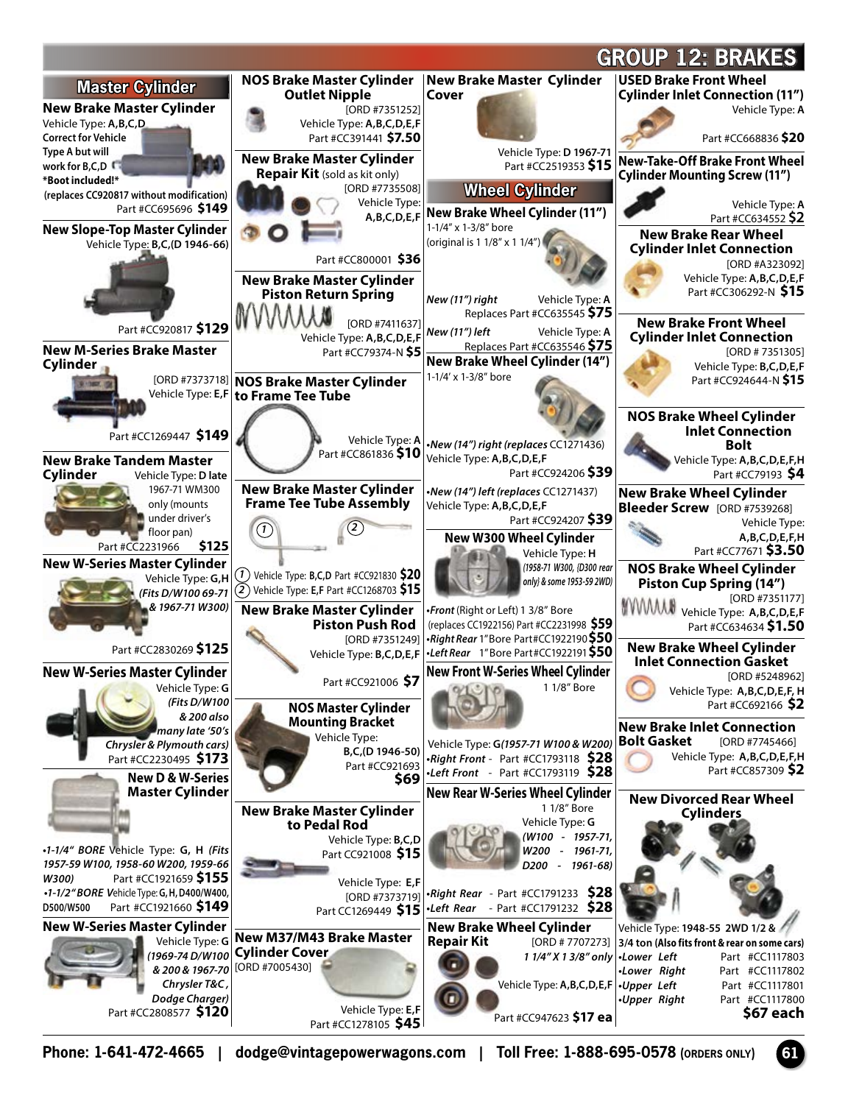

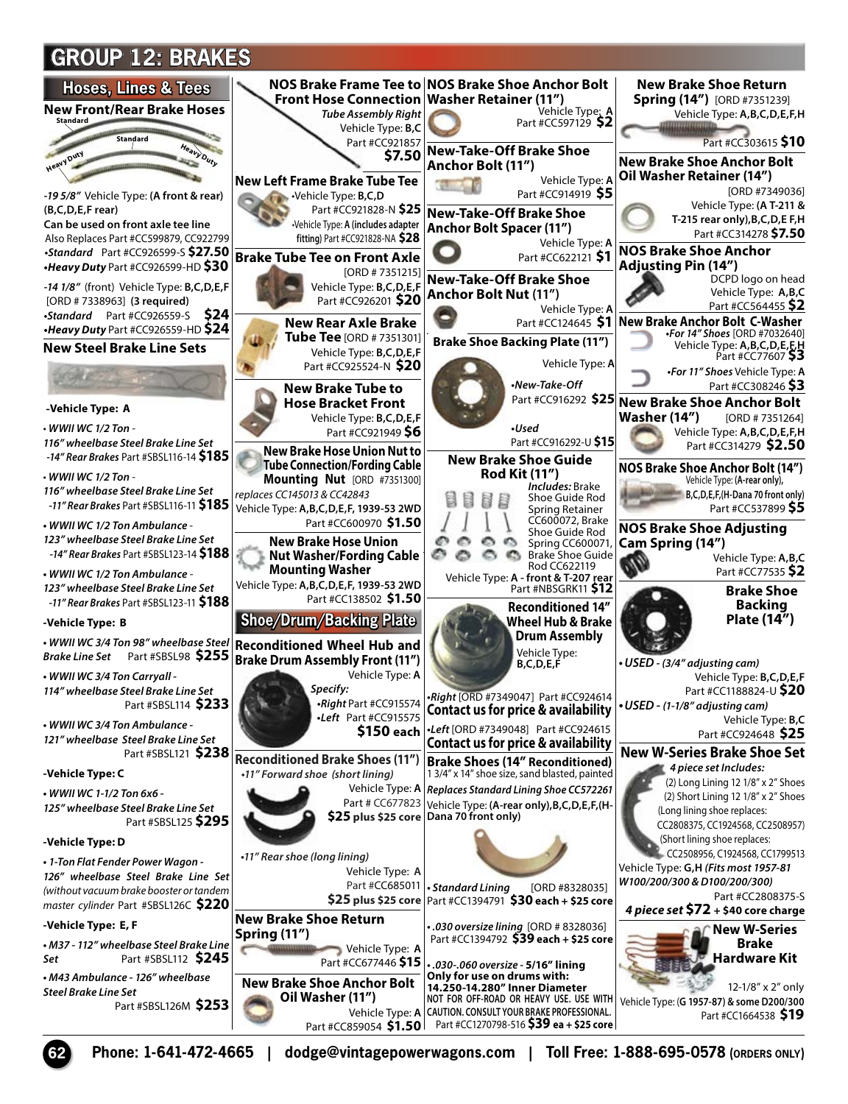## **GROUP 12: BRAKES**

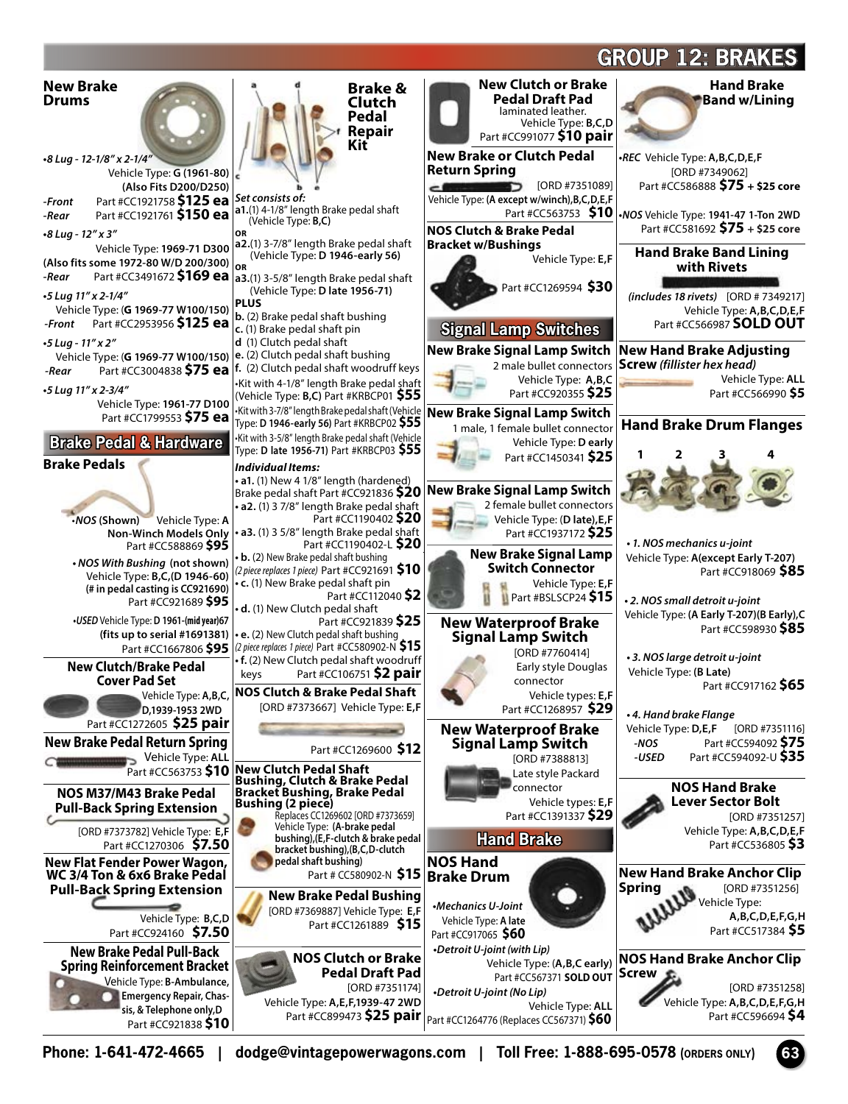## **GROUP 12: BRAKES**